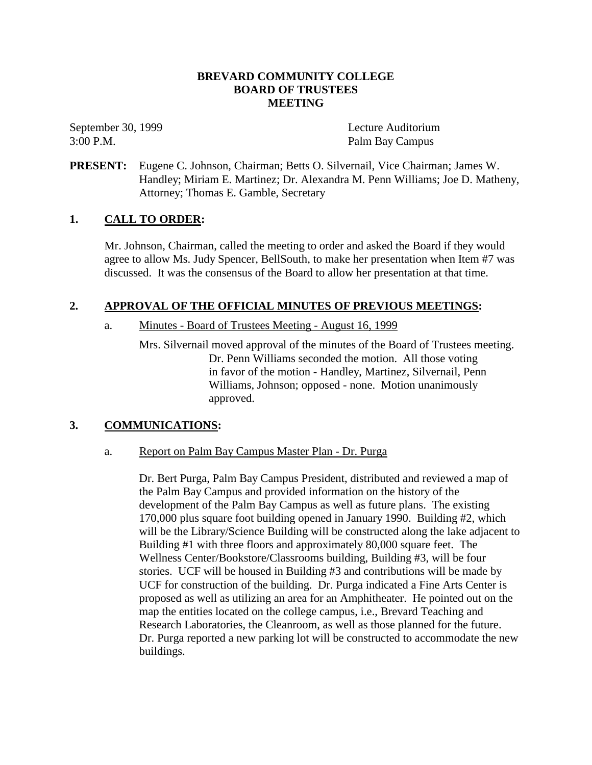### **BREVARD COMMUNITY COLLEGE BOARD OF TRUSTEES MEETING**

3:00 P.M. Palm Bay Campus

September 30, 1999 Lecture Auditorium

**PRESENT:** Eugene C. Johnson, Chairman; Betts O. Silvernail, Vice Chairman; James W. Handley; Miriam E. Martinez; Dr. Alexandra M. Penn Williams; Joe D. Matheny, Attorney; Thomas E. Gamble, Secretary

## **1. CALL TO ORDER:**

Mr. Johnson, Chairman, called the meeting to order and asked the Board if they would agree to allow Ms. Judy Spencer, BellSouth, to make her presentation when Item #7 was discussed. It was the consensus of the Board to allow her presentation at that time.

## **2. APPROVAL OF THE OFFICIAL MINUTES OF PREVIOUS MEETINGS:**

## a. Minutes - Board of Trustees Meeting - August 16, 1999

Mrs. Silvernail moved approval of the minutes of the Board of Trustees meeting. Dr. Penn Williams seconded the motion. All those voting in favor of the motion - Handley, Martinez, Silvernail, Penn Williams, Johnson; opposed - none. Motion unanimously approved.

## **3. COMMUNICATIONS:**

### a. Report on Palm Bay Campus Master Plan - Dr. Purga

Dr. Bert Purga, Palm Bay Campus President, distributed and reviewed a map of the Palm Bay Campus and provided information on the history of the development of the Palm Bay Campus as well as future plans. The existing 170,000 plus square foot building opened in January 1990. Building #2, which will be the Library/Science Building will be constructed along the lake adjacent to Building #1 with three floors and approximately 80,000 square feet. The Wellness Center/Bookstore/Classrooms building, Building #3, will be four stories. UCF will be housed in Building #3 and contributions will be made by UCF for construction of the building. Dr. Purga indicated a Fine Arts Center is proposed as well as utilizing an area for an Amphitheater. He pointed out on the map the entities located on the college campus, i.e., Brevard Teaching and Research Laboratories, the Cleanroom, as well as those planned for the future. Dr. Purga reported a new parking lot will be constructed to accommodate the new buildings.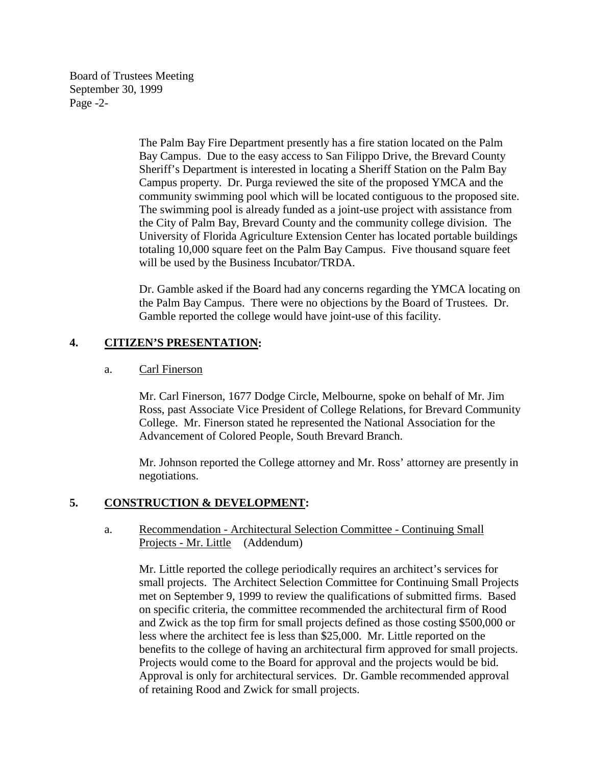Board of Trustees Meeting September 30, 1999 Page -2-

> The Palm Bay Fire Department presently has a fire station located on the Palm Bay Campus. Due to the easy access to San Filippo Drive, the Brevard County Sheriff's Department is interested in locating a Sheriff Station on the Palm Bay Campus property. Dr. Purga reviewed the site of the proposed YMCA and the community swimming pool which will be located contiguous to the proposed site. The swimming pool is already funded as a joint-use project with assistance from the City of Palm Bay, Brevard County and the community college division. The University of Florida Agriculture Extension Center has located portable buildings totaling 10,000 square feet on the Palm Bay Campus. Five thousand square feet will be used by the Business Incubator/TRDA.

> Dr. Gamble asked if the Board had any concerns regarding the YMCA locating on the Palm Bay Campus. There were no objections by the Board of Trustees. Dr. Gamble reported the college would have joint-use of this facility.

## **4. CITIZEN'S PRESENTATION:**

### a. Carl Finerson

Mr. Carl Finerson, 1677 Dodge Circle, Melbourne, spoke on behalf of Mr. Jim Ross, past Associate Vice President of College Relations, for Brevard Community College. Mr. Finerson stated he represented the National Association for the Advancement of Colored People, South Brevard Branch.

Mr. Johnson reported the College attorney and Mr. Ross' attorney are presently in negotiations.

### **5. CONSTRUCTION & DEVELOPMENT:**

### a. Recommendation - Architectural Selection Committee - Continuing Small Projects - Mr. Little (Addendum)

Mr. Little reported the college periodically requires an architect's services for small projects. The Architect Selection Committee for Continuing Small Projects met on September 9, 1999 to review the qualifications of submitted firms. Based on specific criteria, the committee recommended the architectural firm of Rood and Zwick as the top firm for small projects defined as those costing \$500,000 or less where the architect fee is less than \$25,000. Mr. Little reported on the benefits to the college of having an architectural firm approved for small projects. Projects would come to the Board for approval and the projects would be bid. Approval is only for architectural services. Dr. Gamble recommended approval of retaining Rood and Zwick for small projects.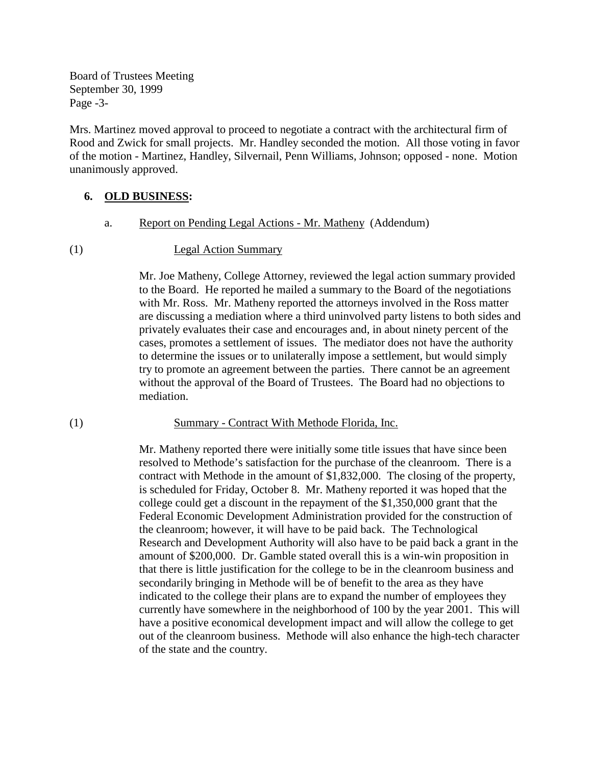Board of Trustees Meeting September 30, 1999 Page -3-

Mrs. Martinez moved approval to proceed to negotiate a contract with the architectural firm of Rood and Zwick for small projects. Mr. Handley seconded the motion. All those voting in favor of the motion - Martinez, Handley, Silvernail, Penn Williams, Johnson; opposed - none. Motion unanimously approved.

# **6. OLD BUSINESS:**

a. Report on Pending Legal Actions - Mr. Matheny (Addendum)

### (1) Legal Action Summary

 Mr. Joe Matheny, College Attorney, reviewed the legal action summary provided to the Board. He reported he mailed a summary to the Board of the negotiations with Mr. Ross. Mr. Matheny reported the attorneys involved in the Ross matter are discussing a mediation where a third uninvolved party listens to both sides and privately evaluates their case and encourages and, in about ninety percent of the cases, promotes a settlement of issues. The mediator does not have the authority to determine the issues or to unilaterally impose a settlement, but would simply try to promote an agreement between the parties. There cannot be an agreement without the approval of the Board of Trustees. The Board had no objections to mediation.

### (1) Summary - Contract With Methode Florida, Inc.

Mr. Matheny reported there were initially some title issues that have since been resolved to Methode's satisfaction for the purchase of the cleanroom. There is a contract with Methode in the amount of \$1,832,000. The closing of the property, is scheduled for Friday, October 8. Mr. Matheny reported it was hoped that the college could get a discount in the repayment of the \$1,350,000 grant that the Federal Economic Development Administration provided for the construction of the cleanroom; however, it will have to be paid back. The Technological Research and Development Authority will also have to be paid back a grant in the amount of \$200,000. Dr. Gamble stated overall this is a win-win proposition in that there is little justification for the college to be in the cleanroom business and secondarily bringing in Methode will be of benefit to the area as they have indicated to the college their plans are to expand the number of employees they currently have somewhere in the neighborhood of 100 by the year 2001. This will have a positive economical development impact and will allow the college to get out of the cleanroom business. Methode will also enhance the high-tech character of the state and the country.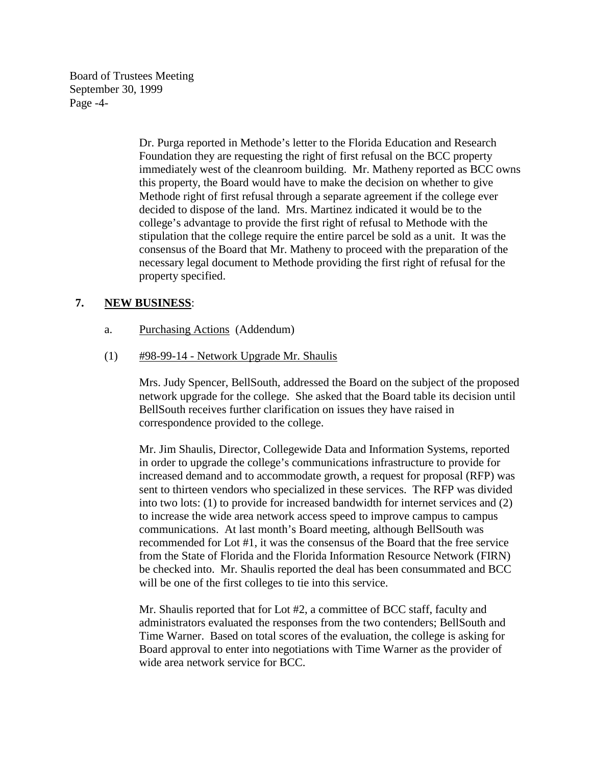Board of Trustees Meeting September 30, 1999 Page -4-

> Dr. Purga reported in Methode's letter to the Florida Education and Research Foundation they are requesting the right of first refusal on the BCC property immediately west of the cleanroom building. Mr. Matheny reported as BCC owns this property, the Board would have to make the decision on whether to give Methode right of first refusal through a separate agreement if the college ever decided to dispose of the land. Mrs. Martinez indicated it would be to the college's advantage to provide the first right of refusal to Methode with the stipulation that the college require the entire parcel be sold as a unit. It was the consensus of the Board that Mr. Matheny to proceed with the preparation of the necessary legal document to Methode providing the first right of refusal for the property specified.

## **7. NEW BUSINESS**:

- a. Purchasing Actions (Addendum)
- (1) #98-99-14 Network Upgrade Mr. Shaulis

Mrs. Judy Spencer, BellSouth, addressed the Board on the subject of the proposed network upgrade for the college. She asked that the Board table its decision until BellSouth receives further clarification on issues they have raised in correspondence provided to the college.

Mr. Jim Shaulis, Director, Collegewide Data and Information Systems, reported in order to upgrade the college's communications infrastructure to provide for increased demand and to accommodate growth, a request for proposal (RFP) was sent to thirteen vendors who specialized in these services. The RFP was divided into two lots: (1) to provide for increased bandwidth for internet services and (2) to increase the wide area network access speed to improve campus to campus communications. At last month's Board meeting, although BellSouth was recommended for Lot #1, it was the consensus of the Board that the free service from the State of Florida and the Florida Information Resource Network (FIRN) be checked into. Mr. Shaulis reported the deal has been consummated and BCC will be one of the first colleges to tie into this service.

Mr. Shaulis reported that for Lot #2, a committee of BCC staff, faculty and administrators evaluated the responses from the two contenders; BellSouth and Time Warner. Based on total scores of the evaluation, the college is asking for Board approval to enter into negotiations with Time Warner as the provider of wide area network service for BCC.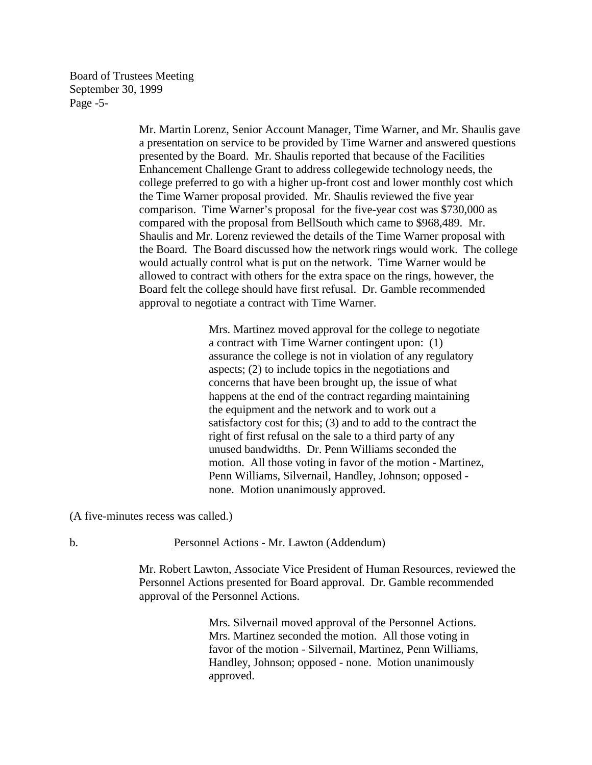Board of Trustees Meeting September 30, 1999 Page -5-

> Mr. Martin Lorenz, Senior Account Manager, Time Warner, and Mr. Shaulis gave a presentation on service to be provided by Time Warner and answered questions presented by the Board. Mr. Shaulis reported that because of the Facilities Enhancement Challenge Grant to address collegewide technology needs, the college preferred to go with a higher up-front cost and lower monthly cost which the Time Warner proposal provided. Mr. Shaulis reviewed the five year comparison. Time Warner's proposal for the five-year cost was \$730,000 as compared with the proposal from BellSouth which came to \$968,489. Mr. Shaulis and Mr. Lorenz reviewed the details of the Time Warner proposal with the Board. The Board discussed how the network rings would work. The college would actually control what is put on the network. Time Warner would be allowed to contract with others for the extra space on the rings, however, the Board felt the college should have first refusal. Dr. Gamble recommended approval to negotiate a contract with Time Warner.

> > Mrs. Martinez moved approval for the college to negotiate a contract with Time Warner contingent upon: (1) assurance the college is not in violation of any regulatory aspects; (2) to include topics in the negotiations and concerns that have been brought up, the issue of what happens at the end of the contract regarding maintaining the equipment and the network and to work out a satisfactory cost for this; (3) and to add to the contract the right of first refusal on the sale to a third party of any unused bandwidths. Dr. Penn Williams seconded the motion. All those voting in favor of the motion - Martinez, Penn Williams, Silvernail, Handley, Johnson; opposed none. Motion unanimously approved.

(A five-minutes recess was called.)

b. Personnel Actions - Mr. Lawton (Addendum)

 Mr. Robert Lawton, Associate Vice President of Human Resources, reviewed the Personnel Actions presented for Board approval. Dr. Gamble recommended approval of the Personnel Actions.

> Mrs. Silvernail moved approval of the Personnel Actions. Mrs. Martinez seconded the motion. All those voting in favor of the motion - Silvernail, Martinez, Penn Williams, Handley, Johnson; opposed - none. Motion unanimously approved.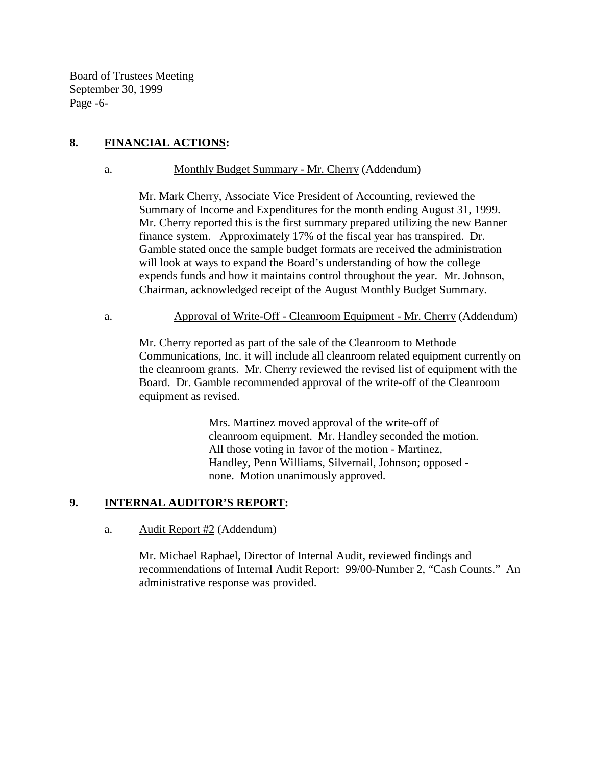Board of Trustees Meeting September 30, 1999 Page -6-

# **8. FINANCIAL ACTIONS:**

### a. Monthly Budget Summary - Mr. Cherry (Addendum)

Mr. Mark Cherry, Associate Vice President of Accounting, reviewed the Summary of Income and Expenditures for the month ending August 31, 1999. Mr. Cherry reported this is the first summary prepared utilizing the new Banner finance system. Approximately 17% of the fiscal year has transpired. Dr. Gamble stated once the sample budget formats are received the administration will look at ways to expand the Board's understanding of how the college expends funds and how it maintains control throughout the year. Mr. Johnson, Chairman, acknowledged receipt of the August Monthly Budget Summary.

a. Approval of Write-Off - Cleanroom Equipment - Mr. Cherry (Addendum)

Mr. Cherry reported as part of the sale of the Cleanroom to Methode Communications, Inc. it will include all cleanroom related equipment currently on the cleanroom grants. Mr. Cherry reviewed the revised list of equipment with the Board. Dr. Gamble recommended approval of the write-off of the Cleanroom equipment as revised.

> Mrs. Martinez moved approval of the write-off of cleanroom equipment. Mr. Handley seconded the motion. All those voting in favor of the motion - Martinez, Handley, Penn Williams, Silvernail, Johnson; opposed none. Motion unanimously approved.

### **9. INTERNAL AUDITOR'S REPORT:**

a. Audit Report #2 (Addendum)

Mr. Michael Raphael, Director of Internal Audit, reviewed findings and recommendations of Internal Audit Report: 99/00-Number 2, "Cash Counts." An administrative response was provided.